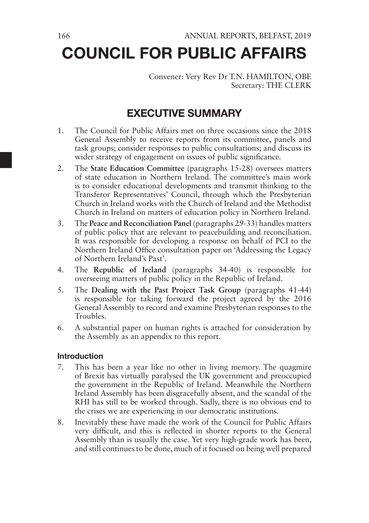# COUNCIL FOR PUBLIC AFFAIRS

Convener: Very Rev Dr T.N. HAMILTON, OBE Secretary: THE CLERK

# EXECUTIVE SUMMARY

- 1. The Council for Public Affairs met on three occasions since the 2018 General Assembly to receive reports from its committee, panels and task groups; consider responses to public consultations; and discuss its wider strategy of engagement on issues of public significance.
- 2. The **State Education Committee** (paragraphs 15-28) oversees matters of state education in Northern Ireland. The committee's main work is to consider educational developments and transmit thinking to the Transferor Representatives' Council, through which the Presbyterian Church in Ireland works with the Church of Ireland and the Methodist Church in Ireland on matters of education policy in Northern Ireland.
- 3. The **Peace and Reconciliation Panel** (paragraphs 29-33) handles matters of public policy that are relevant to peacebuilding and reconciliation. It was responsible for developing a response on behalf of PCI to the Northern Ireland Office consultation paper on 'Addressing the Legacy of Northern Ireland's Past'.
- 4. The **Republic of Ireland** (paragraphs 34-40) is responsible for overseeing matters of public policy in the Republic of Ireland.
- 5. The **Dealing with the Past Project Task Group** (paragraphs 41-44) is responsible for taking forward the project agreed by the 2016 General Assembly to record and examine Presbyterian responses to the Troubles.
- 6. A substantial paper on human rights is attached for consideration by the Assembly as an appendix to this report.

#### Introduction

- 7. This has been a year like no other in living memory. The quagmire of Brexit has virtually paralysed the UK government and preoccupied the government in the Republic of Ireland. Meanwhile the Northern Ireland Assembly has been disgracefully absent, and the scandal of the RHI has still to be worked through. Sadly, there is no obvious end to the crises we are experiencing in our democratic institutions.
- 8. Inevitably these have made the work of the Council for Public Affairs very difficult, and this is reflected in shorter reports to the General Assembly than is usually the case. Yet very high-grade work has been, and still continues to be done, much of it focused on being well prepared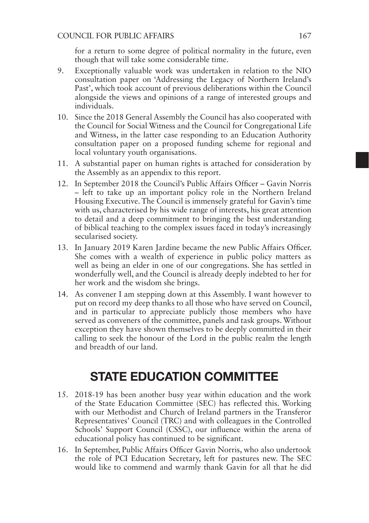for a return to some degree of political normality in the future, even though that will take some considerable time.

- 9. Exceptionally valuable work was undertaken in relation to the NIO consultation paper on 'Addressing the Legacy of Northern Ireland's Past', which took account of previous deliberations within the Council alongside the views and opinions of a range of interested groups and individuals.
- 10. Since the 2018 General Assembly the Council has also cooperated with the Council for Social Witness and the Council for Congregational Life and Witness, in the latter case responding to an Education Authority consultation paper on a proposed funding scheme for regional and local voluntary youth organisations.
- 11. A substantial paper on human rights is attached for consideration by the Assembly as an appendix to this report.
- 12. In September 2018 the Council's Public Affairs Officer Gavin Norris – left to take up an important policy role in the Northern Ireland Housing Executive. The Council is immensely grateful for Gavin's time with us, characterised by his wide range of interests, his great attention to detail and a deep commitment to bringing the best understanding of biblical teaching to the complex issues faced in today's increasingly secularised society.
- 13. In January 2019 Karen Jardine became the new Public Affairs Officer. She comes with a wealth of experience in public policy matters as well as being an elder in one of our congregations. She has settled in wonderfully well, and the Council is already deeply indebted to her for her work and the wisdom she brings.
- 14. As convener I am stepping down at this Assembly. I want however to put on record my deep thanks to all those who have served on Council, and in particular to appreciate publicly those members who have served as conveners of the committee, panels and task groups. Without exception they have shown themselves to be deeply committed in their calling to seek the honour of the Lord in the public realm the length and breadth of our land.

# STATE EDUCATION COMMITTEE

- 15. 2018-19 has been another busy year within education and the work of the State Education Committee (SEC) has reflected this. Working with our Methodist and Church of Ireland partners in the Transferor Representatives' Council (TRC) and with colleagues in the Controlled Schools' Support Council (CSSC), our influence within the arena of educational policy has continued to be significant.
- 16. In September, Public Affairs Officer Gavin Norris, who also undertook the role of PCI Education Secretary, left for pastures new. The SEC would like to commend and warmly thank Gavin for all that he did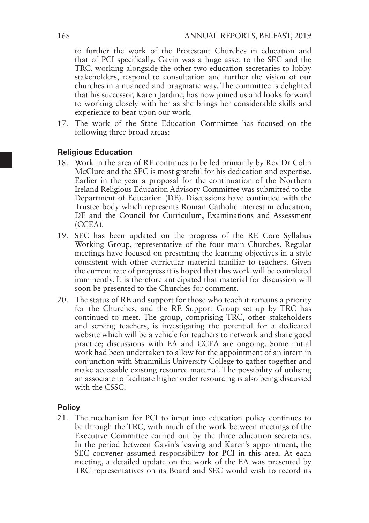to further the work of the Protestant Churches in education and that of PCI specifically. Gavin was a huge asset to the SEC and the TRC, working alongside the other two education secretaries to lobby stakeholders, respond to consultation and further the vision of our churches in a nuanced and pragmatic way. The committee is delighted that his successor, Karen Jardine, has now joined us and looks forward to working closely with her as she brings her considerable skills and experience to bear upon our work.

17. The work of the State Education Committee has focused on the following three broad areas:

#### Religious Education

- 18. Work in the area of RE continues to be led primarily by Rev Dr Colin McClure and the SEC is most grateful for his dedication and expertise. Earlier in the year a proposal for the continuation of the Northern Ireland Religious Education Advisory Committee was submitted to the Department of Education (DE). Discussions have continued with the Trustee body which represents Roman Catholic interest in education, DE and the Council for Curriculum, Examinations and Assessment (CCEA).
- 19. SEC has been updated on the progress of the RE Core Syllabus Working Group, representative of the four main Churches. Regular meetings have focused on presenting the learning objectives in a style consistent with other curricular material familiar to teachers. Given the current rate of progress it is hoped that this work will be completed imminently. It is therefore anticipated that material for discussion will soon be presented to the Churches for comment.
- 20. The status of RE and support for those who teach it remains a priority for the Churches, and the RE Support Group set up by TRC has continued to meet. The group, comprising TRC, other stakeholders and serving teachers, is investigating the potential for a dedicated website which will be a vehicle for teachers to network and share good practice; discussions with EA and CCEA are ongoing. Some initial work had been undertaken to allow for the appointment of an intern in conjunction with Stranmillis University College to gather together and make accessible existing resource material. The possibility of utilising an associate to facilitate higher order resourcing is also being discussed with the CSSC.

#### **Policy**

21. The mechanism for PCI to input into education policy continues to be through the TRC, with much of the work between meetings of the Executive Committee carried out by the three education secretaries. In the period between Gavin's leaving and Karen's appointment, the SEC convener assumed responsibility for PCI in this area. At each meeting, a detailed update on the work of the EA was presented by TRC representatives on its Board and SEC would wish to record its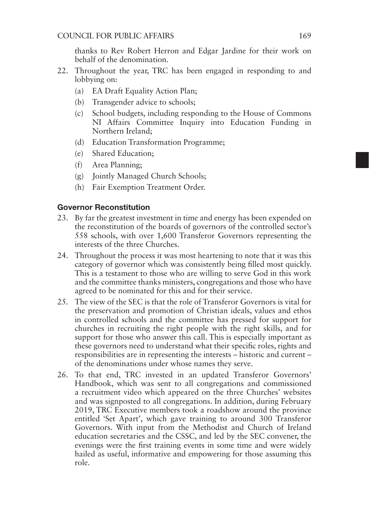thanks to Rev Robert Herron and Edgar Jardine for their work on behalf of the denomination.

- 22. Throughout the year, TRC has been engaged in responding to and lobbying on:
	- (a) EA Draft Equality Action Plan;
	- (b) Transgender advice to schools;
	- (c) School budgets, including responding to the House of Commons NI Affairs Committee Inquiry into Education Funding in Northern Ireland;
	- (d) Education Transformation Programme;
	- (e) Shared Education;
	- (f) Area Planning;
	- (g) Jointly Managed Church Schools;
	- (h) Fair Exemption Treatment Order.

#### Governor Reconstitution

- 23. By far the greatest investment in time and energy has been expended on the reconstitution of the boards of governors of the controlled sector's 558 schools, with over 1,600 Transferor Governors representing the interests of the three Churches.
- 24. Throughout the process it was most heartening to note that it was this category of governor which was consistently being filled most quickly. This is a testament to those who are willing to serve God in this work and the committee thanks ministers, congregations and those who have agreed to be nominated for this and for their service.
- 25. The view of the SEC is that the role of Transferor Governors is vital for the preservation and promotion of Christian ideals, values and ethos in controlled schools and the committee has pressed for support for churches in recruiting the right people with the right skills, and for support for those who answer this call. This is especially important as these governors need to understand what their specific roles, rights and responsibilities are in representing the interests – historic and current – of the denominations under whose names they serve.
- 26. To that end, TRC invested in an updated Transferor Governors' Handbook, which was sent to all congregations and commissioned a recruitment video which appeared on the three Churches' websites and was signposted to all congregations. In addition, during February 2019, TRC Executive members took a roadshow around the province entitled 'Set Apart', which gave training to around 300 Transferor Governors. With input from the Methodist and Church of Ireland education secretaries and the CSSC, and led by the SEC convener, the evenings were the first training events in some time and were widely hailed as useful, informative and empowering for those assuming this role.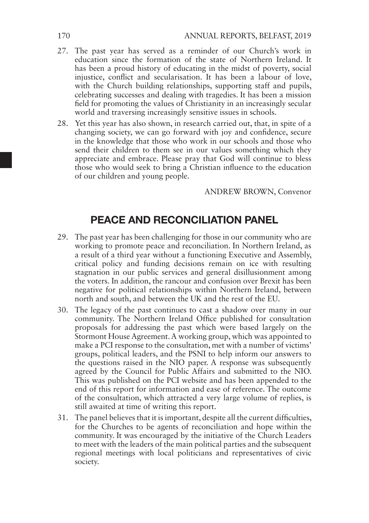- 27. The past year has served as a reminder of our Church's work in education since the formation of the state of Northern Ireland. It has been a proud history of educating in the midst of poverty, social injustice, conflict and secularisation. It has been a labour of love, with the Church building relationships, supporting staff and pupils, celebrating successes and dealing with tragedies. It has been a mission field for promoting the values of Christianity in an increasingly secular world and traversing increasingly sensitive issues in schools.
- 28. Yet this year has also shown, in research carried out, that, in spite of a changing society, we can go forward with joy and confidence, secure in the knowledge that those who work in our schools and those who send their children to them see in our values something which they appreciate and embrace. Please pray that God will continue to bless those who would seek to bring a Christian influence to the education of our children and young people.

ANDREW BROWN, Convenor

### PEACE AND RECONCILIATION PANEL

- 29. The past year has been challenging for those in our community who are working to promote peace and reconciliation. In Northern Ireland, as a result of a third year without a functioning Executive and Assembly, critical policy and funding decisions remain on ice with resulting stagnation in our public services and general disillusionment among the voters. In addition, the rancour and confusion over Brexit has been negative for political relationships within Northern Ireland, between north and south, and between the UK and the rest of the EU.
- 30. The legacy of the past continues to cast a shadow over many in our community. The Northern Ireland Office published for consultation proposals for addressing the past which were based largely on the Stormont House Agreement. A working group, which was appointed to make a PCI response to the consultation, met with a number of victims' groups, political leaders, and the PSNI to help inform our answers to the questions raised in the NIO paper. A response was subsequently agreed by the Council for Public Affairs and submitted to the NIO. This was published on the PCI website and has been appended to the end of this report for information and ease of reference. The outcome of the consultation, which attracted a very large volume of replies, is still awaited at time of writing this report.
- 31. The panel believes that it is important, despite all the current difficulties, for the Churches to be agents of reconciliation and hope within the community. It was encouraged by the initiative of the Church Leaders to meet with the leaders of the main political parties and the subsequent regional meetings with local politicians and representatives of civic society.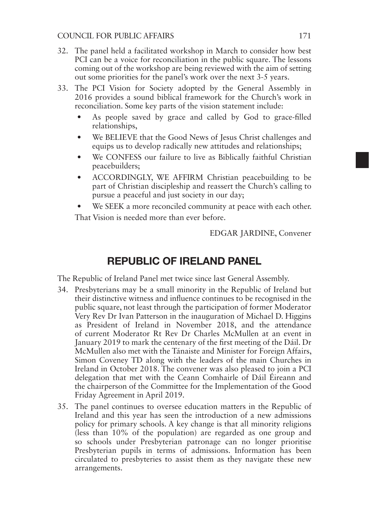#### COUNCIL FOR PUBLIC AFFAIRS 171

- 32. The panel held a facilitated workshop in March to consider how best PCI can be a voice for reconciliation in the public square. The lessons coming out of the workshop are being reviewed with the aim of setting out some priorities for the panel's work over the next 3-5 years.
- 33. The PCI Vision for Society adopted by the General Assembly in 2016 provides a sound biblical framework for the Church's work in reconciliation. Some key parts of the vision statement include:
	- As people saved by grace and called by God to grace-filled relationships,
	- We BELIEVE that the Good News of Jesus Christ challenges and equips us to develop radically new attitudes and relationships;
	- We CONFESS our failure to live as Biblically faithful Christian peacebuilders;
	- ACCORDINGLY, WE AFFIRM Christian peacebuilding to be part of Christian discipleship and reassert the Church's calling to pursue a peaceful and just society in our day;
	- We SEEK a more reconciled community at peace with each other.

That Vision is needed more than ever before.

EDGAR JARDINE, Convener

### REPUBLIC OF IRELAND PANEL

The Republic of Ireland Panel met twice since last General Assembly.

- 34. Presbyterians may be a small minority in the Republic of Ireland but their distinctive witness and influence continues to be recognised in the public square, not least through the participation of former Moderator Very Rev Dr Ivan Patterson in the inauguration of Michael D. Higgins as President of Ireland in November 2018, and the attendance of current Moderator Rt Rev Dr Charles McMullen at an event in January 2019 to mark the centenary of the first meeting of the Dáil. Dr McMullen also met with the Tánaiste and Minister for Foreign Affairs, Simon Coveney TD along with the leaders of the main Churches in Ireland in October 2018. The convener was also pleased to join a PCI delegation that met with the Ceann Comhairle of Dáil Éireann and the chairperson of the Committee for the Implementation of the Good Friday Agreement in April 2019.
- 35. The panel continues to oversee education matters in the Republic of Ireland and this year has seen the introduction of a new admissions policy for primary schools. A key change is that all minority religions (less than 10% of the population) are regarded as one group and so schools under Presbyterian patronage can no longer prioritise Presbyterian pupils in terms of admissions. Information has been circulated to presbyteries to assist them as they navigate these new arrangements.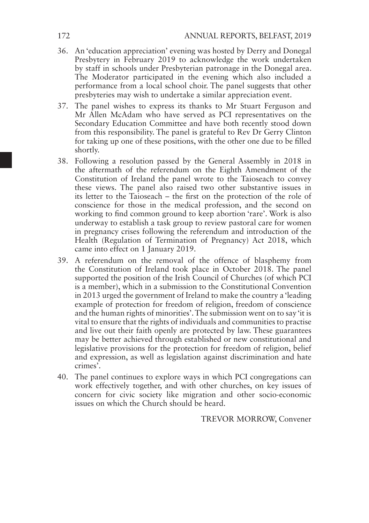- 36. An 'education appreciation' evening was hosted by Derry and Donegal Presbytery in February 2019 to acknowledge the work undertaken by staff in schools under Presbyterian patronage in the Donegal area. The Moderator participated in the evening which also included a performance from a local school choir. The panel suggests that other presbyteries may wish to undertake a similar appreciation event.
- 37. The panel wishes to express its thanks to Mr Stuart Ferguson and Mr Allen McAdam who have served as PCI representatives on the Secondary Education Committee and have both recently stood down from this responsibility. The panel is grateful to Rev Dr Gerry Clinton for taking up one of these positions, with the other one due to be filled shortly.
- 38. Following a resolution passed by the General Assembly in 2018 in the aftermath of the referendum on the Eighth Amendment of the Constitution of Ireland the panel wrote to the Taioseach to convey these views. The panel also raised two other substantive issues in its letter to the Taioseach – the first on the protection of the role of conscience for those in the medical profession, and the second on working to find common ground to keep abortion 'rare'. Work is also underway to establish a task group to review pastoral care for women in pregnancy crises following the referendum and introduction of the Health (Regulation of Termination of Pregnancy) Act 2018, which came into effect on 1 January 2019.
- 39. A referendum on the removal of the offence of blasphemy from the Constitution of Ireland took place in October 2018. The panel supported the position of the Irish Council of Churches (of which PCI is a member), which in a submission to the Constitutional Convention in 2013 urged the government of Ireland to make the country a 'leading example of protection for freedom of religion, freedom of conscience and the human rights of minorities'. The submission went on to say 'it is vital to ensure that the rights of individuals and communities to practise and live out their faith openly are protected by law. These guarantees may be better achieved through established or new constitutional and legislative provisions for the protection for freedom of religion, belief and expression, as well as legislation against discrimination and hate crimes'.
- 40. The panel continues to explore ways in which PCI congregations can work effectively together, and with other churches, on key issues of concern for civic society like migration and other socio-economic issues on which the Church should be heard.

TREVOR MORROW, Convener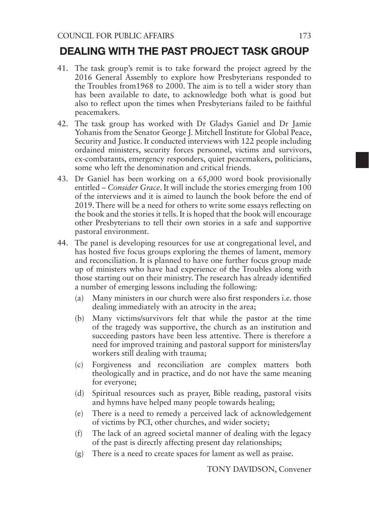### DEALING WITH THE PAST PROJECT TASK GROUP

- 41. The task group's remit is to take forward the project agreed by the 2016 General Assembly to explore how Presbyterians responded to the Troubles from1968 to 2000. The aim is to tell a wider story than has been available to date, to acknowledge both what is good but also to reflect upon the times when Presbyterians failed to be faithful peacemakers.
- 42. The task group has worked with Dr Gladys Ganiel and Dr Jamie Yohanis from the Senator George J. Mitchell Institute for Global Peace, Security and Justice. It conducted interviews with 122 people including ordained ministers, security forces personnel, victims and survivors, ex-combatants, emergency responders, quiet peacemakers, politicians, some who left the denomination and critical friends.
- 43. Dr Ganiel has been working on a 65,000 word book provisionally entitled – *Consider Grace*. It will include the stories emerging from 100 of the interviews and it is aimed to launch the book before the end of 2019. There will be a need for others to write some essays reflecting on the book and the stories it tells. It is hoped that the book will encourage other Presbyterians to tell their own stories in a safe and supportive pastoral environment.
- 44. The panel is developing resources for use at congregational level, and has hosted five focus groups exploring the themes of lament, memory and reconciliation. It is planned to have one further focus group made up of ministers who have had experience of the Troubles along with those starting out on their ministry. The research has already identified a number of emerging lessons including the following:
	- (a) Many ministers in our church were also first responders i.e. those dealing immediately with an atrocity in the area;
	- (b) Many victims/survivors felt that while the pastor at the time of the tragedy was supportive, the church as an institution and succeeding pastors have been less attentive. There is therefore a need for improved training and pastoral support for ministers/lay workers still dealing with trauma;
	- (c) Forgiveness and reconciliation are complex matters both theologically and in practice, and do not have the same meaning for everyone;
	- (d) Spiritual resources such as prayer, Bible reading, pastoral visits and hymns have helped many people towards healing;
	- (e) There is a need to remedy a perceived lack of acknowledgement of victims by PCI, other churches, and wider society;
	- (f) The lack of an agreed societal manner of dealing with the legacy of the past is directly affecting present day relationships;
	- (g) There is a need to create spaces for lament as well as praise.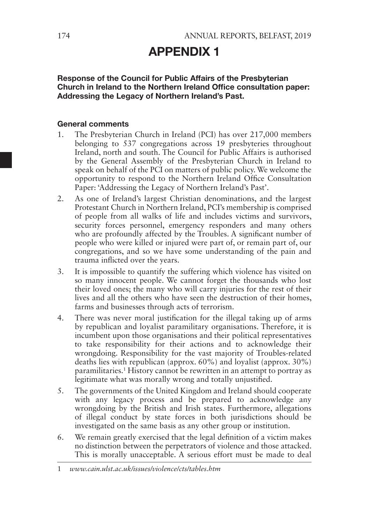# APPENDIX 1

#### Response of the Council for Public Affairs of the Presbyterian Church in Ireland to the Northern Ireland Office consultation paper: Addressing the Legacy of Northern Ireland's Past.

#### General comments

- 1. The Presbyterian Church in Ireland (PCI) has over 217,000 members belonging to 537 congregations across 19 presbyteries throughout Ireland, north and south. The Council for Public Affairs is authorised by the General Assembly of the Presbyterian Church in Ireland to speak on behalf of the PCI on matters of public policy. We welcome the opportunity to respond to the Northern Ireland Office Consultation Paper: 'Addressing the Legacy of Northern Ireland's Past'.
- 2. As one of Ireland's largest Christian denominations, and the largest Protestant Church in Northern Ireland, PCI's membership is comprised of people from all walks of life and includes victims and survivors, security forces personnel, emergency responders and many others who are profoundly affected by the Troubles. A significant number of people who were killed or injured were part of, or remain part of, our congregations, and so we have some understanding of the pain and trauma inflicted over the years.
- 3. It is impossible to quantify the suffering which violence has visited on so many innocent people. We cannot forget the thousands who lost their loved ones; the many who will carry injuries for the rest of their lives and all the others who have seen the destruction of their homes, farms and businesses through acts of terrorism.
- 4. There was never moral justification for the illegal taking up of arms by republican and loyalist paramilitary organisations. Therefore, it is incumbent upon those organisations and their political representatives to take responsibility for their actions and to acknowledge their wrongdoing. Responsibility for the vast majority of Troubles-related deaths lies with republican (approx. 60%) and loyalist (approx. 30%) paramilitaries.1 History cannot be rewritten in an attempt to portray as legitimate what was morally wrong and totally unjustified.
- 5. The governments of the United Kingdom and Ireland should cooperate with any legacy process and be prepared to acknowledge any wrongdoing by the British and Irish states. Furthermore, allegations of illegal conduct by state forces in both jurisdictions should be investigated on the same basis as any other group or institution.
- 6. We remain greatly exercised that the legal definition of a victim makes no distinction between the perpetrators of violence and those attacked. This is morally unacceptable. A serious effort must be made to deal

<sup>1</sup> *www.cain.ulst.ac.uk/issues/violence/cts/tables.htm*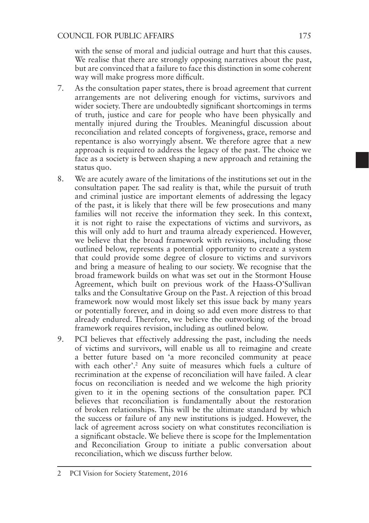with the sense of moral and judicial outrage and hurt that this causes. We realise that there are strongly opposing narratives about the past, but are convinced that a failure to face this distinction in some coherent way will make progress more difficult.

- 7. As the consultation paper states, there is broad agreement that current arrangements are not delivering enough for victims, survivors and wider society. There are undoubtedly significant shortcomings in terms of truth, justice and care for people who have been physically and mentally injured during the Troubles. Meaningful discussion about reconciliation and related concepts of forgiveness, grace, remorse and repentance is also worryingly absent. We therefore agree that a new approach is required to address the legacy of the past. The choice we face as a society is between shaping a new approach and retaining the status quo.
- 8. We are acutely aware of the limitations of the institutions set out in the consultation paper. The sad reality is that, while the pursuit of truth and criminal justice are important elements of addressing the legacy of the past, it is likely that there will be few prosecutions and many families will not receive the information they seek. In this context, it is not right to raise the expectations of victims and survivors, as this will only add to hurt and trauma already experienced. However, we believe that the broad framework with revisions, including those outlined below, represents a potential opportunity to create a system that could provide some degree of closure to victims and survivors and bring a measure of healing to our society. We recognise that the broad framework builds on what was set out in the Stormont House Agreement, which built on previous work of the Haass-O'Sullivan talks and the Consultative Group on the Past. A rejection of this broad framework now would most likely set this issue back by many years or potentially forever, and in doing so add even more distress to that already endured. Therefore, we believe the outworking of the broad framework requires revision, including as outlined below.
- 9. PCI believes that effectively addressing the past, including the needs of victims and survivors, will enable us all to reimagine and create a better future based on 'a more reconciled community at peace with each other'.<sup>2</sup> Any suite of measures which fuels a culture of recrimination at the expense of reconciliation will have failed. A clear focus on reconciliation is needed and we welcome the high priority given to it in the opening sections of the consultation paper. PCI believes that reconciliation is fundamentally about the restoration of broken relationships. This will be the ultimate standard by which the success or failure of any new institutions is judged. However, the lack of agreement across society on what constitutes reconciliation is a significant obstacle. We believe there is scope for the Implementation and Reconciliation Group to initiate a public conversation about reconciliation, which we discuss further below.

<sup>2</sup> PCI Vision for Society Statement, 2016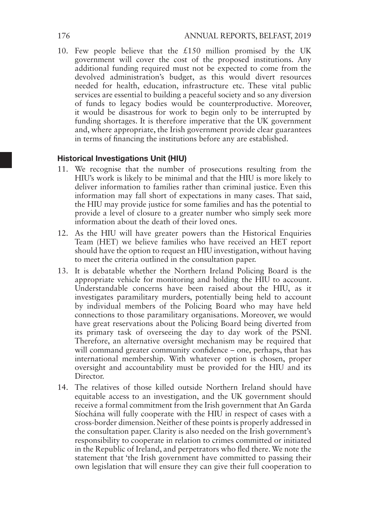10. Few people believe that the  $£150$  million promised by the UK government will cover the cost of the proposed institutions. Any additional funding required must not be expected to come from the devolved administration's budget, as this would divert resources needed for health, education, infrastructure etc. These vital public services are essential to building a peaceful society and so any diversion of funds to legacy bodies would be counterproductive. Moreover, it would be disastrous for work to begin only to be interrupted by funding shortages. It is therefore imperative that the UK government and, where appropriate, the Irish government provide clear guarantees in terms of financing the institutions before any are established.

#### Historical Investigations Unit (HIU)

- 11. We recognise that the number of prosecutions resulting from the HIU's work is likely to be minimal and that the HIU is more likely to deliver information to families rather than criminal justice. Even this information may fall short of expectations in many cases. That said, the HIU may provide justice for some families and has the potential to provide a level of closure to a greater number who simply seek more information about the death of their loved ones.
- 12. As the HIU will have greater powers than the Historical Enquiries Team (HET) we believe families who have received an HET report should have the option to request an HIU investigation, without having to meet the criteria outlined in the consultation paper.
- 13. It is debatable whether the Northern Ireland Policing Board is the appropriate vehicle for monitoring and holding the HIU to account. Understandable concerns have been raised about the HIU, as it investigates paramilitary murders, potentially being held to account by individual members of the Policing Board who may have held connections to those paramilitary organisations. Moreover, we would have great reservations about the Policing Board being diverted from its primary task of overseeing the day to day work of the PSNI. Therefore, an alternative oversight mechanism may be required that will command greater community confidence – one, perhaps, that has international membership. With whatever option is chosen, proper oversight and accountability must be provided for the HIU and its Director.
- 14. The relatives of those killed outside Northern Ireland should have equitable access to an investigation, and the UK government should receive a formal commitment from the Irish government that An Garda Síochána will fully cooperate with the HIU in respect of cases with a cross-border dimension. Neither of these points is properly addressed in the consultation paper. Clarity is also needed on the Irish government's responsibility to cooperate in relation to crimes committed or initiated in the Republic of Ireland, and perpetrators who fled there. We note the statement that 'the Irish government have committed to passing their own legislation that will ensure they can give their full cooperation to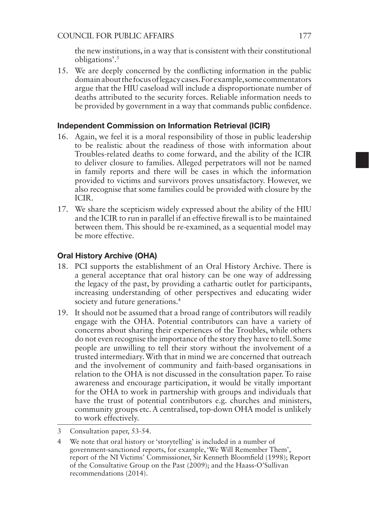the new institutions, in a way that is consistent with their constitutional obligations'.3

15. We are deeply concerned by the conflicting information in the public domain about the focus of legacy cases. For example, some commentators argue that the HIU caseload will include a disproportionate number of deaths attributed to the security forces. Reliable information needs to be provided by government in a way that commands public confidence.

#### Independent Commission on Information Retrieval (ICIR)

- 16. Again, we feel it is a moral responsibility of those in public leadership to be realistic about the readiness of those with information about Troubles-related deaths to come forward, and the ability of the ICIR to deliver closure to families. Alleged perpetrators will not be named in family reports and there will be cases in which the information provided to victims and survivors proves unsatisfactory. However, we also recognise that some families could be provided with closure by the ICIR.
- 17. We share the scepticism widely expressed about the ability of the HIU and the ICIR to run in parallel if an effective firewall is to be maintained between them. This should be re-examined, as a sequential model may be more effective.

#### Oral History Archive (OHA)

- 18. PCI supports the establishment of an Oral History Archive. There is a general acceptance that oral history can be one way of addressing the legacy of the past, by providing a cathartic outlet for participants, increasing understanding of other perspectives and educating wider society and future generations.<sup>4</sup>
- 19. It should not be assumed that a broad range of contributors will readily engage with the OHA. Potential contributors can have a variety of concerns about sharing their experiences of the Troubles, while others do not even recognise the importance of the story they have to tell. Some people are unwilling to tell their story without the involvement of a trusted intermediary. With that in mind we are concerned that outreach and the involvement of community and faith-based organisations in relation to the OHA is not discussed in the consultation paper. To raise awareness and encourage participation, it would be vitally important for the OHA to work in partnership with groups and individuals that have the trust of potential contributors e.g. churches and ministers, community groups etc. A centralised, top-down OHA model is unlikely to work effectively.
- 3 Consultation paper, 53-54.
- 4 We note that oral history or 'storytelling' is included in a number of government-sanctioned reports, for example, 'We Will Remember Them', report of the NI Victims' Commissioner, Sir Kenneth Bloomfield (1998); Report of the Consultative Group on the Past (2009); and the Haass-O'Sullivan recommendations (2014).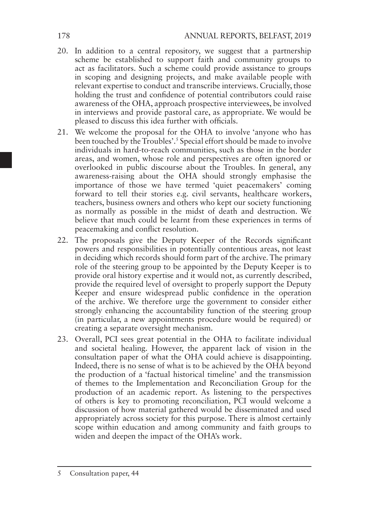- 20. In addition to a central repository, we suggest that a partnership scheme be established to support faith and community groups to act as facilitators. Such a scheme could provide assistance to groups in scoping and designing projects, and make available people with relevant expertise to conduct and transcribe interviews. Crucially, those holding the trust and confidence of potential contributors could raise awareness of the OHA, approach prospective interviewees, be involved in interviews and provide pastoral care, as appropriate. We would be pleased to discuss this idea further with officials.
- 21. We welcome the proposal for the OHA to involve 'anyone who has been touched by the Troubles'.5 Special effort should be made to involve individuals in hard-to-reach communities, such as those in the border areas, and women, whose role and perspectives are often ignored or overlooked in public discourse about the Troubles. In general, any awareness-raising about the OHA should strongly emphasise the importance of those we have termed 'quiet peacemakers' coming forward to tell their stories e.g. civil servants, healthcare workers, teachers, business owners and others who kept our society functioning as normally as possible in the midst of death and destruction. We believe that much could be learnt from these experiences in terms of peacemaking and conflict resolution.
- 22. The proposals give the Deputy Keeper of the Records significant powers and responsibilities in potentially contentious areas, not least in deciding which records should form part of the archive. The primary role of the steering group to be appointed by the Deputy Keeper is to provide oral history expertise and it would not, as currently described, provide the required level of oversight to properly support the Deputy Keeper and ensure widespread public confidence in the operation of the archive. We therefore urge the government to consider either strongly enhancing the accountability function of the steering group (in particular, a new appointments procedure would be required) or creating a separate oversight mechanism.
- 23. Overall, PCI sees great potential in the OHA to facilitate individual and societal healing. However, the apparent lack of vision in the consultation paper of what the OHA could achieve is disappointing. Indeed, there is no sense of what is to be achieved by the OHA beyond the production of a 'factual historical timeline' and the transmission of themes to the Implementation and Reconciliation Group for the production of an academic report. As listening to the perspectives of others is key to promoting reconciliation, PCI would welcome a discussion of how material gathered would be disseminated and used appropriately across society for this purpose. There is almost certainly scope within education and among community and faith groups to widen and deepen the impact of the OHA's work.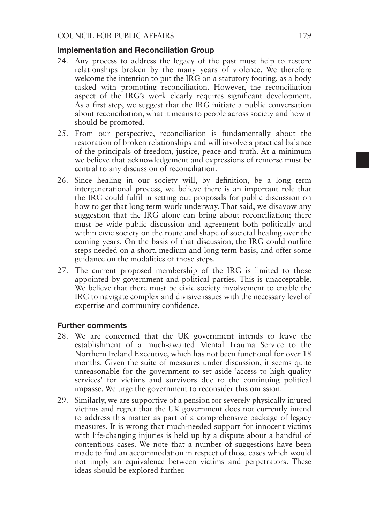#### Implementation and Reconciliation Group

- 24. Any process to address the legacy of the past must help to restore relationships broken by the many years of violence. We therefore welcome the intention to put the IRG on a statutory footing, as a body tasked with promoting reconciliation. However, the reconciliation aspect of the IRG's work clearly requires significant development. As a first step, we suggest that the IRG initiate a public conversation about reconciliation, what it means to people across society and how it should be promoted.
- 25. From our perspective, reconciliation is fundamentally about the restoration of broken relationships and will involve a practical balance of the principals of freedom, justice, peace and truth. At a minimum we believe that acknowledgement and expressions of remorse must be central to any discussion of reconciliation.
- 26. Since healing in our society will, by definition, be a long term intergenerational process, we believe there is an important role that the IRG could fulfil in setting out proposals for public discussion on how to get that long term work underway. That said, we disavow any suggestion that the IRG alone can bring about reconciliation; there must be wide public discussion and agreement both politically and within civic society on the route and shape of societal healing over the coming years. On the basis of that discussion, the IRG could outline steps needed on a short, medium and long term basis, and offer some guidance on the modalities of those steps.
- 27. The current proposed membership of the IRG is limited to those appointed by government and political parties. This is unacceptable. We believe that there must be civic society involvement to enable the IRG to navigate complex and divisive issues with the necessary level of expertise and community confidence.

#### Further comments

- 28. We are concerned that the UK government intends to leave the establishment of a much-awaited Mental Trauma Service to the Northern Ireland Executive, which has not been functional for over 18 months. Given the suite of measures under discussion, it seems quite unreasonable for the government to set aside 'access to high quality services' for victims and survivors due to the continuing political impasse. We urge the government to reconsider this omission.
- 29. Similarly, we are supportive of a pension for severely physically injured victims and regret that the UK government does not currently intend to address this matter as part of a comprehensive package of legacy measures. It is wrong that much-needed support for innocent victims with life-changing injuries is held up by a dispute about a handful of contentious cases. We note that a number of suggestions have been made to find an accommodation in respect of those cases which would not imply an equivalence between victims and perpetrators. These ideas should be explored further.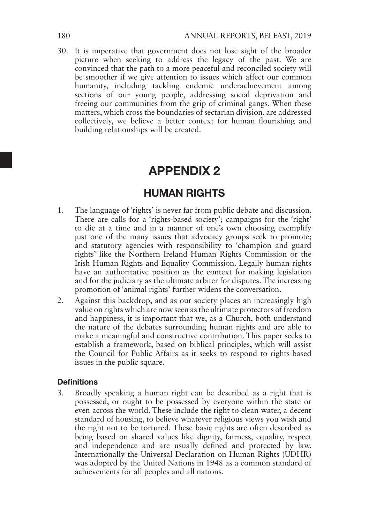30. It is imperative that government does not lose sight of the broader picture when seeking to address the legacy of the past. We are convinced that the path to a more peaceful and reconciled society will be smoother if we give attention to issues which affect our common humanity, including tackling endemic underachievement among sections of our young people, addressing social deprivation and freeing our communities from the grip of criminal gangs. When these matters, which cross the boundaries of sectarian division, are addressed collectively, we believe a better context for human flourishing and building relationships will be created.

# APPENDIX 2

### HUMAN RIGHTS

- 1. The language of 'rights' is never far from public debate and discussion. There are calls for a 'rights-based society'; campaigns for the 'right' to die at a time and in a manner of one's own choosing exemplify just one of the many issues that advocacy groups seek to promote: and statutory agencies with responsibility to 'champion and guard rights' like the Northern Ireland Human Rights Commission or the Irish Human Rights and Equality Commission. Legally human rights have an authoritative position as the context for making legislation and for the judiciary as the ultimate arbiter for disputes. The increasing promotion of 'animal rights' further widens the conversation.
- 2. Against this backdrop, and as our society places an increasingly high value on rights which are now seen as the ultimate protectors of freedom and happiness, it is important that we, as a Church, both understand the nature of the debates surrounding human rights and are able to make a meaningful and constructive contribution. This paper seeks to establish a framework, based on biblical principles, which will assist the Council for Public Affairs as it seeks to respond to rights-based issues in the public square.

#### **Definitions**

3. Broadly speaking a human right can be described as a right that is possessed, or ought to be possessed by everyone within the state or even across the world. These include the right to clean water, a decent standard of housing, to believe whatever religious views you wish and the right not to be tortured. These basic rights are often described as being based on shared values like dignity, fairness, equality, respect and independence and are usually defined and protected by law. Internationally the Universal Declaration on Human Rights (UDHR) was adopted by the United Nations in 1948 as a common standard of achievements for all peoples and all nations.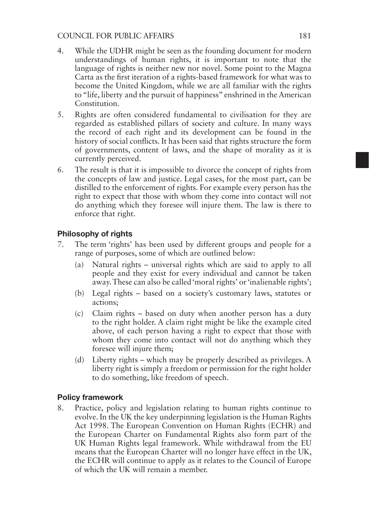#### COUNCIL FOR PUBLIC AFFAIRS 181

- 4. While the UDHR might be seen as the founding document for modern understandings of human rights, it is important to note that the language of rights is neither new nor novel. Some point to the Magna Carta as the first iteration of a rights-based framework for what was to become the United Kingdom, while we are all familiar with the rights to "life, liberty and the pursuit of happiness" enshrined in the American Constitution.
- 5. Rights are often considered fundamental to civilisation for they are regarded as established pillars of society and culture. In many ways the record of each right and its development can be found in the history of social conflicts. It has been said that rights structure the form of governments, content of laws, and the shape of morality as it is currently perceived.
- 6. The result is that it is impossible to divorce the concept of rights from the concepts of law and justice. Legal cases, for the most part, can be distilled to the enforcement of rights. For example every person has the right to expect that those with whom they come into contact will not do anything which they foresee will injure them. The law is there to enforce that right.

#### Philosophy of rights

- 7. The term 'rights' has been used by different groups and people for a range of purposes, some of which are outlined below:
	- (a) Natural rights universal rights which are said to apply to all people and they exist for every individual and cannot be taken away. These can also be called 'moral rights' or 'inalienable rights';
	- (b) Legal rights based on a society's customary laws, statutes or actions;
	- (c) Claim rights based on duty when another person has a duty to the right holder. A claim right might be like the example cited above, of each person having a right to expect that those with whom they come into contact will not do anything which they foresee will injure them;
	- (d) Liberty rights which may be properly described as privileges. A liberty right is simply a freedom or permission for the right holder to do something, like freedom of speech.

#### Policy framework

8. Practice, policy and legislation relating to human rights continue to evolve. In the UK the key underpinning legislation is the Human Rights Act 1998. The European Convention on Human Rights (ECHR) and the European Charter on Fundamental Rights also form part of the UK Human Rights legal framework. While withdrawal from the EU means that the European Charter will no longer have effect in the UK, the ECHR will continue to apply as it relates to the Council of Europe of which the UK will remain a member.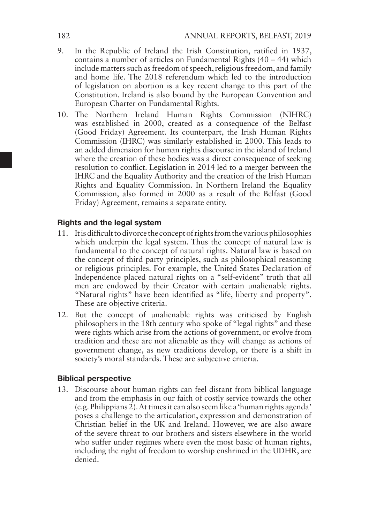- 9. In the Republic of Ireland the Irish Constitution, ratified in 1937, contains a number of articles on Fundamental Rights (40 – 44) which include matters such as freedom of speech, religious freedom, and family and home life. The 2018 referendum which led to the introduction of legislation on abortion is a key recent change to this part of the Constitution. Ireland is also bound by the European Convention and European Charter on Fundamental Rights.
- 10. The Northern Ireland Human Rights Commission (NIHRC) was established in 2000, created as a consequence of the Belfast (Good Friday) Agreement. Its counterpart, the Irish Human Rights Commission (IHRC) was similarly established in 2000. This leads to an added dimension for human rights discourse in the island of Ireland where the creation of these bodies was a direct consequence of seeking resolution to conflict. Legislation in 2014 led to a merger between the IHRC and the Equality Authority and the creation of the Irish Human Rights and Equality Commission. In Northern Ireland the Equality Commission, also formed in 2000 as a result of the Belfast (Good Friday) Agreement, remains a separate entity.

#### Rights and the legal system

- 11. It is difficult to divorce the concept of rights from the various philosophies which underpin the legal system. Thus the concept of natural law is fundamental to the concept of natural rights. Natural law is based on the concept of third party principles, such as philosophical reasoning or religious principles. For example, the United States Declaration of Independence placed natural rights on a "self-evident" truth that all men are endowed by their Creator with certain unalienable rights. "Natural rights" have been identified as "life, liberty and property". These are objective criteria.
- 12. But the concept of unalienable rights was criticised by English philosophers in the 18th century who spoke of "legal rights" and these were rights which arise from the actions of government, or evolve from tradition and these are not alienable as they will change as actions of government change, as new traditions develop, or there is a shift in society's moral standards. These are subjective criteria.

#### Biblical perspective

13. Discourse about human rights can feel distant from biblical language and from the emphasis in our faith of costly service towards the other  $(e.g., Philippines 2)$ . At times it can also seem like a 'human rights agenda' poses a challenge to the articulation, expression and demonstration of Christian belief in the UK and Ireland. However, we are also aware of the severe threat to our brothers and sisters elsewhere in the world who suffer under regimes where even the most basic of human rights, including the right of freedom to worship enshrined in the UDHR, are denied.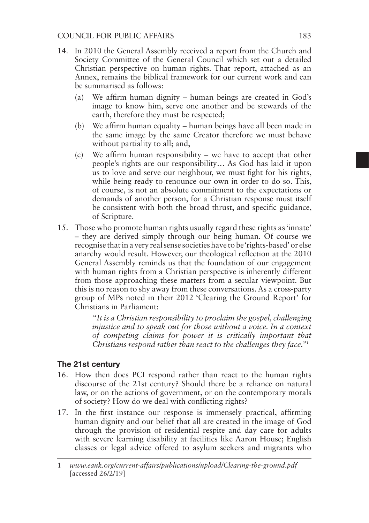- 14. In 2010 the General Assembly received a report from the Church and Society Committee of the General Council which set out a detailed Christian perspective on human rights. That report, attached as an Annex, remains the biblical framework for our current work and can be summarised as follows:
	- (a) We affirm human dignity human beings are created in God's image to know him, serve one another and be stewards of the earth, therefore they must be respected;
	- (b) We affirm human equality human beings have all been made in the same image by the same Creator therefore we must behave without partiality to all; and,
	- (c) We affirm human responsibility we have to accept that other people's rights are our responsibility… As God has laid it upon us to love and serve our neighbour, we must fight for his rights, while being ready to renounce our own in order to do so. This, of course, is not an absolute commitment to the expectations or demands of another person, for a Christian response must itself be consistent with both the broad thrust, and specific guidance, of Scripture.
- 15. Those who promote human rights usually regard these rights as 'innate' – they are derived simply through our being human. Of course we recognise that in a very real sense societies have to be 'rights-based' or else anarchy would result. However, our theological reflection at the 2010 General Assembly reminds us that the foundation of our engagement with human rights from a Christian perspective is inherently different from those approaching these matters from a secular viewpoint. But this is no reason to shy away from these conversations. As a cross-party group of MPs noted in their 2012 'Clearing the Ground Report' for Christians in Parliament:

*"It is a Christian responsibility to proclaim the gospel, challenging injustice and to speak out for those without a voice. In a context of competing claims for power it is critically important that Christians respond rather than react to the challenges they face.*"<sup>1</sup>

#### The 21st century

- 16. How then does PCI respond rather than react to the human rights discourse of the 21st century? Should there be a reliance on natural law, or on the actions of government, or on the contemporary morals of society? How do we deal with conflicting rights?
- 17. In the first instance our response is immensely practical, affirming human dignity and our belief that all are created in the image of God through the provision of residential respite and day care for adults with severe learning disability at facilities like Aaron House; English classes or legal advice offered to asylum seekers and migrants who

<sup>1</sup> *www.eauk.org/current-affairs/publications/upload/Clearing-the-ground.pdf*  [accessed  $26/2/19$ ]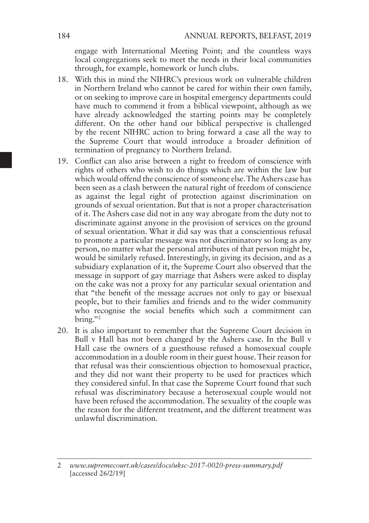engage with International Meeting Point; and the countless ways local congregations seek to meet the needs in their local communities through, for example, homework or lunch clubs.

- 18. With this in mind the NIHRC's previous work on vulnerable children in Northern Ireland who cannot be cared for within their own family, or on seeking to improve care in hospital emergency departments could have much to commend it from a biblical viewpoint, although as we have already acknowledged the starting points may be completely different. On the other hand our biblical perspective is challenged by the recent NIHRC action to bring forward a case all the way to the Supreme Court that would introduce a broader definition of termination of pregnancy to Northern Ireland.
- 19. Conflict can also arise between a right to freedom of conscience with rights of others who wish to do things which are within the law but which would offend the conscience of someone else. The Ashers case has been seen as a clash between the natural right of freedom of conscience as against the legal right of protection against discrimination on grounds of sexual orientation. But that is not a proper characterisation of it. The Ashers case did not in any way abrogate from the duty not to discriminate against anyone in the provision of services on the ground of sexual orientation. What it did say was that a conscientious refusal to promote a particular message was not discriminatory so long as any person, no matter what the personal attributes of that person might be, would be similarly refused. Interestingly, in giving its decision, and as a subsidiary explanation of it, the Supreme Court also observed that the message in support of gay marriage that Ashers were asked to display on the cake was not a proxy for any particular sexual orientation and that "the benefit of the message accrues not only to gay or bisexual people, but to their families and friends and to the wider community who recognise the social benefits which such a commitment can bring." $2^2$
- 20. It is also important to remember that the Supreme Court decision in Bull v Hall has not been changed by the Ashers case. In the Bull v Hall case the owners of a guesthouse refused a homosexual couple accommodation in a double room in their guest house. Their reason for that refusal was their conscientious objection to homosexual practice, and they did not want their property to be used for practices which they considered sinful. In that case the Supreme Court found that such refusal was discriminatory because a heterosexual couple would not have been refused the accommodation. The sexuality of the couple was the reason for the different treatment, and the different treatment was unlawful discrimination.

<sup>2</sup> *www.supremecourt.uk/cases/docs/uksc-2017-0020-press-summary.pdf* [accessed 26/2/19]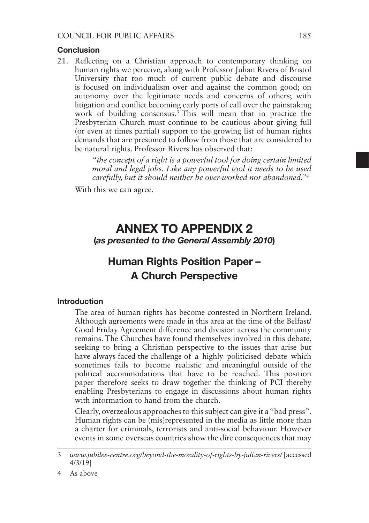#### Conclusion

21. Reflecting on a Christian approach to contemporary thinking on human rights we perceive, along with Professor Julian Rivers of Bristol University that too much of current public debate and discourse is focused on individualism over and against the common good; on autonomy over the legitimate needs and concerns of others; with litigation and conflict becoming early ports of call over the painstaking work of building consensus.<sup>3</sup> This will mean that in practice the Presbyterian Church must continue to be cautious about giving full (or even at times partial) support to the growing list of human rights demands that are presumed to follow from those that are considered to be natural rights. Professor Rivers has observed that:

> *"the concept of a right is a powerful tool for doing certain limited moral and legal jobs. Like any powerful tool it needs to be used carefully, but it should neither be over-worked nor abandoned."49*

With this we can agree.

### ANNEX TO APPENDIX 2 (*as presented to the General Assembly 2010*)

# Human Rights Position Paper – A Church Perspective

#### Introduction

The area of human rights has become contested in Northern Ireland. Although agreements were made in this area at the time of the Belfast/ Good Friday Agreement difference and division across the community remains. The Churches have found themselves involved in this debate, seeking to bring a Christian perspective to the issues that arise but have always faced the challenge of a highly politicised debate which sometimes fails to become realistic and meaningful outside of the political accommodations that have to be reached. This position paper therefore seeks to draw together the thinking of PCI thereby enabling Presbyterians to engage in discussions about human rights with information to hand from the church.

Clearly, overzealous approaches to this subject can give it a "bad press". Human rights can be (mis)represented in the media as little more than a charter for criminals, terrorists and anti-social behaviour. However events in some overseas countries show the dire consequences that may

<sup>3</sup> *www.jubilee-centre.org/beyond-the-morality-of-rights-by-julian-rivers/* [accessed 4/3/19]

<sup>4</sup> As above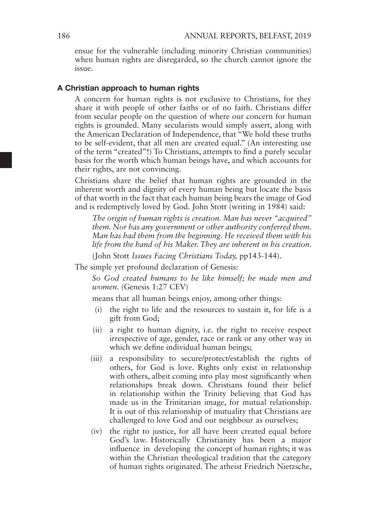ensue for the vulnerable (including minority Christian communities) when human rights are disregarded, so the church cannot ignore the issue.

#### A Christian approach to human rights

A concern for human rights is not exclusive to Christians, for they share it with people of other faiths or of no faith. Christians differ from secular people on the question of where our concern for human rights is grounded. Many secularists would simply assert, along with the American Declaration of Independence, that "We hold these truths to be self-evident, that all men are created equal." (An interesting use of the term "created"!) To Christians, attempts to find a purely secular basis for the worth which human beings have, and which accounts for their rights, are not convincing.

Christians share the belief that human rights are grounded in the inherent worth and dignity of every human being but locate the basis of that worth in the fact that each human being bears the image of God and is redemptively loved by God. John Stott (writing in 1984) said:

*The origin of human rights is creation. Man has never "acquired" them. Nor has any government or other authority conferred them. Man has had them from the beginning. He received them with his life from the hand of his Maker. They are inherent in his creation.*

(John Stott *Issues Facing Christians Today,* pp143-144).

The simple yet profound declaration of Genesis:

*So God created humans to be like himself; he made men and women.* (Genesis 1:27 CEV)

means that all human beings enjoy, among other things:

- (i) the right to life and the resources to sustain it, for life is a gift from God;
- (ii) a right to human dignity, i.e. the right to receive respect irrespective of age, gender, race or rank or any other way in which we define individual human beings;
- (iii) a responsibility to secure/protect/establish the rights of others, for God is love. Rights only exist in relationship with others, albeit coming into play most significantly when relationships break down. Christians found their belief in relationship within the Trinity believing that God has made us in the Trinitarian image, for mutual relationship. It is out of this relationship of mutuality that Christians are challenged to love God and our neighbour as ourselves;
- (iv) the right to justice, for all have been created equal before God's law. Historically Christianity has been a major influence in developing the concept of human rights; it was within the Christian theological tradition that the category of human rights originated. The atheist Friedrich Nietzsche,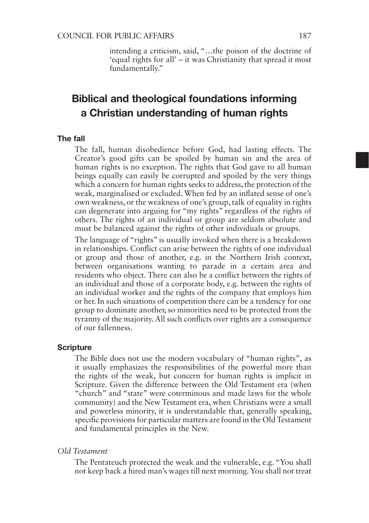intending a criticism, said, "…the poison of the doctrine of 'equal rights for all' – it was Christianity that spread it most fundamentally."

# Biblical and theological foundations informing a Christian understanding of human rights

#### The fall

The fall, human disobedience before God, had lasting effects. The Creator's good gifts can be spoiled by human sin and the area of human rights is no exception. The rights that God gave to all human beings equally can easily be corrupted and spoiled by the very things which a concern for human rights seeks to address, the protection of the weak, marginalised or excluded. When fed by an inflated sense of one's own weakness, or the weakness of one's group, talk of equality in rights can degenerate into arguing for "my rights" regardless of the rights of others. The rights of an individual or group are seldom absolute and must be balanced against the rights of other individuals or groups.

The language of "rights" is usually invoked when there is a breakdown in relationships. Conflict can arise between the rights of one individual or group and those of another, e.g. in the Northern Irish context, between organisations wanting to parade in a certain area and residents who object. There can also be a conflict between the rights of an individual and those of a corporate body, e.g. between the rights of an individual worker and the rights of the company that employs him or her. In such situations of competition there can be a tendency for one group to dominate another, so minorities need to be protected from the tyranny of the majority. All such conflicts over rights are a consequence of our fallenness.

#### **Scripture**

The Bible does not use the modern vocabulary of "human rights", as it usually emphasizes the responsibilities of the powerful more than the rights of the weak, but concern for human rights is implicit in Scripture. Given the difference between the Old Testament era (when "church" and "state" were coterminous and made laws for the whole community) and the New Testament era, when Christians were a small and powerless minority, it is understandable that, generally speaking, specific provisions for particular matters are found in the Old Testament and fundamental principles in the New.

#### *Old Testament*

The Pentateuch protected the weak and the vulnerable, e.g. "You shall not keep back a hired man's wages till next morning. You shall not treat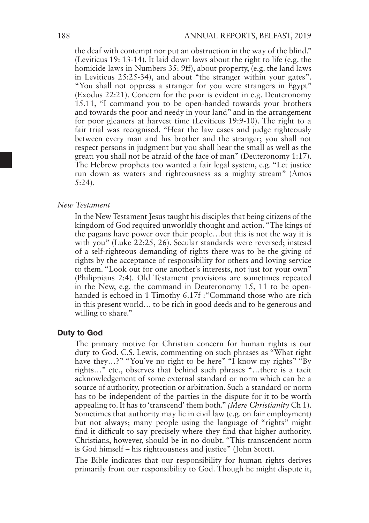the deaf with contempt nor put an obstruction in the way of the blind." (Leviticus 19: 13-14). It laid down laws about the right to life (e.g. the homicide laws in Numbers 35: 9ff), about property, (e.g. the land laws in Leviticus 25:25-34), and about "the stranger within your gates". "You shall not oppress a stranger for you were strangers in Egypt" (Exodus 22:21). Concern for the poor is evident in e.g. Deuteronomy 15.11, "I command you to be open-handed towards your brothers and towards the poor and needy in your land" and in the arrangement for poor gleaners at harvest time (Leviticus 19:9-10). The right to a fair trial was recognised. "Hear the law cases and judge righteously between every man and his brother and the stranger; you shall not respect persons in judgment but you shall hear the small as well as the great; you shall not be afraid of the face of man" (Deuteronomy 1:17). The Hebrew prophets too wanted a fair legal system, e.g. "Let justice run down as waters and righteousness as a mighty stream" (Amos 5:24).

#### *New Testament*

In the New Testament Jesus taught his disciples that being citizens of the kingdom of God required unworldly thought and action. "The kings of the pagans have power over their people…but this is not the way it is with you" (Luke 22:25, 26). Secular standards were reversed; instead of a self-righteous demanding of rights there was to be the giving of rights by the acceptance of responsibility for others and loving service to them. "Look out for one another's interests, not just for your own" (Philippians 2:4). Old Testament provisions are sometimes repeated in the New, e.g. the command in Deuteronomy 15, 11 to be openhanded is echoed in 1 Timothy 6.17f : "Command those who are rich in this present world… to be rich in good deeds and to be generous and willing to share."

#### Duty to God

The primary motive for Christian concern for human rights is our duty to God. C.S. Lewis, commenting on such phrases as "What right have they...?" "You've no right to be here" "I know my rights" "By rights…" etc., observes that behind such phrases "…there is a tacit acknowledgement of some external standard or norm which can be a source of authority, protection or arbitration. Such a standard or norm has to be independent of the parties in the dispute for it to be worth appealing to. It has to 'transcend' them both." *(Mere Christianity* Ch 1). Sometimes that authority may lie in civil law (e.g. on fair employment) but not always; many people using the language of "rights" might find it difficult to say precisely where they find that higher authority. Christians, however, should be in no doubt. "This transcendent norm is God himself – his righteousness and justice" (John Stott).

The Bible indicates that our responsibility for human rights derives primarily from our responsibility to God. Though he might dispute it,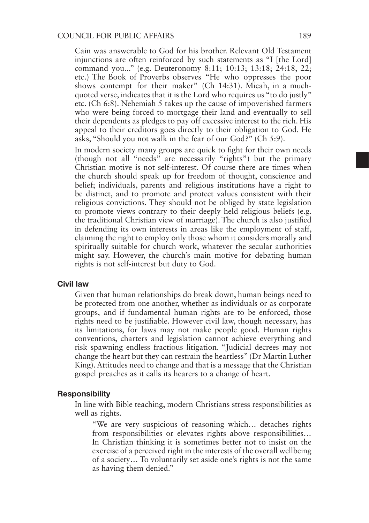Cain was answerable to God for his brother. Relevant Old Testament injunctions are often reinforced by such statements as "I [the Lord] command you..." (e.g. Deuteronomy 8:11; 10:13; 13:18; 24:18, 22; etc.) The Book of Proverbs observes "He who oppresses the poor shows contempt for their maker" (Ch 14:31). Micah, in a muchquoted verse, indicates that it is the Lord who requires us "to do justly" etc. (Ch 6:8). Nehemiah 5 takes up the cause of impoverished farmers who were being forced to mortgage their land and eventually to sell their dependents as pledges to pay off excessive interest to the rich. His appeal to their creditors goes directly to their obligation to God. He asks, "Should you not walk in the fear of our God?" (Ch 5:9).

In modern society many groups are quick to fight for their own needs (though not all "needs" are necessarily "rights") but the primary Christian motive is not self-interest. Of course there are times when the church should speak up for freedom of thought, conscience and belief; individuals, parents and religious institutions have a right to be distinct, and to promote and protect values consistent with their religious convictions. They should not be obliged by state legislation to promote views contrary to their deeply held religious beliefs (e.g. the traditional Christian view of marriage). The church is also justified in defending its own interests in areas like the employment of staff, claiming the right to employ only those whom it considers morally and spiritually suitable for church work, whatever the secular authorities might say. However, the church's main motive for debating human rights is not self-interest but duty to God.

#### Civil law

Given that human relationships do break down, human beings need to be protected from one another, whether as individuals or as corporate groups, and if fundamental human rights are to be enforced, those rights need to be justifiable. However civil law, though necessary, has its limitations, for laws may not make people good. Human rights conventions, charters and legislation cannot achieve everything and risk spawning endless fractious litigation. "Judicial decrees may not change the heart but they can restrain the heartless" (Dr Martin Luther King). Attitudes need to change and that is a message that the Christian gospel preaches as it calls its hearers to a change of heart.

#### Responsibility

In line with Bible teaching, modern Christians stress responsibilities as well as rights.

"We are very suspicious of reasoning which… detaches rights from responsibilities or elevates rights above responsibilities… In Christian thinking it is sometimes better not to insist on the exercise of a perceived right in the interests of the overall wellbeing of a society… To voluntarily set aside one's rights is not the same as having them denied."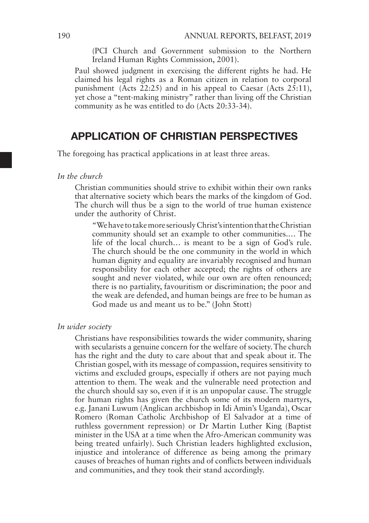(PCI Church and Government submission to the Northern Ireland Human Rights Commission, 2001).

Paul showed judgment in exercising the different rights he had. He claimed his legal rights as a Roman citizen in relation to corporal punishment ( $\tilde{A}$ cts 22:25) and in his appeal to Caesar ( $\tilde{A}$ cts 25:11), yet chose a "tent-making ministry" rather than living off the Christian community as he was entitled to do (Acts 20:33-34).

### APPLICATION OF CHRISTIAN PERSPECTIVES

The foregoing has practical applications in at least three areas.

*In the church*

Christian communities should strive to exhibit within their own ranks that alternative society which bears the marks of the kingdom of God. The church will thus be a sign to the world of true human existence under the authority of Christ.

"We have to take more seriously Christ's intention that the Christian community should set an example to other communities.… The life of the local church… is meant to be a sign of God's rule. The church should be the one community in the world in which human dignity and equality are invariably recognised and human responsibility for each other accepted; the rights of others are sought and never violated, while our own are often renounced; there is no partiality, favouritism or discrimination; the poor and the weak are defended, and human beings are free to be human as God made us and meant us to be." (John Stott)

#### *In wider society*

Christians have responsibilities towards the wider community, sharing with secularists a genuine concern for the welfare of society. The church has the right and the duty to care about that and speak about it. The Christian gospel, with its message of compassion, requires sensitivity to victims and excluded groups, especially if others are not paying much attention to them. The weak and the vulnerable need protection and the church should say so, even if it is an unpopular cause. The struggle for human rights has given the church some of its modern martyrs, e.g. Janani Luwum (Anglican archbishop in Idi Amin's Uganda), Oscar Romero (Roman Catholic Archbishop of El Salvador at a time of ruthless government repression) or Dr Martin Luther King (Baptist minister in the USA at a time when the Afro-American community was being treated unfairly). Such Christian leaders highlighted exclusion, injustice and intolerance of difference as being among the primary causes of breaches of human rights and of conflicts between individuals and communities, and they took their stand accordingly.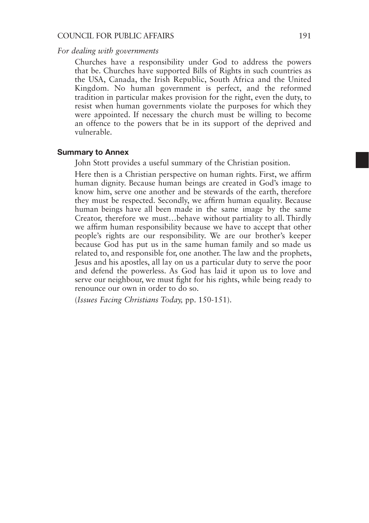#### COUNCIL FOR PUBLIC AFFAIRS 191

#### *For dealing with governments*

Churches have a responsibility under God to address the powers that be. Churches have supported Bills of Rights in such countries as the USA, Canada, the Irish Republic, South Africa and the United Kingdom. No human government is perfect, and the reformed tradition in particular makes provision for the right, even the duty, to resist when human governments violate the purposes for which they were appointed. If necessary the church must be willing to become an offence to the powers that be in its support of the deprived and vulnerable.

#### Summary to Annex

John Stott provides a useful summary of the Christian position.

Here then is a Christian perspective on human rights. First, we affirm human dignity. Because human beings are created in God's image to know him, serve one another and be stewards of the earth, therefore they must be respected. Secondly, we affirm human equality. Because human beings have all been made in the same image by the same Creator, therefore we must…behave without partiality to all. Thirdly we affirm human responsibility because we have to accept that other people's rights are our responsibility. We are our brother's keeper because God has put us in the same human family and so made us related to, and responsible for, one another. The law and the prophets, Jesus and his apostles, all lay on us a particular duty to serve the poor and defend the powerless. As God has laid it upon us to love and serve our neighbour, we must fight for his rights, while being ready to renounce our own in order to do so.

(*Issues Facing Christians Today,* pp. 150-151).